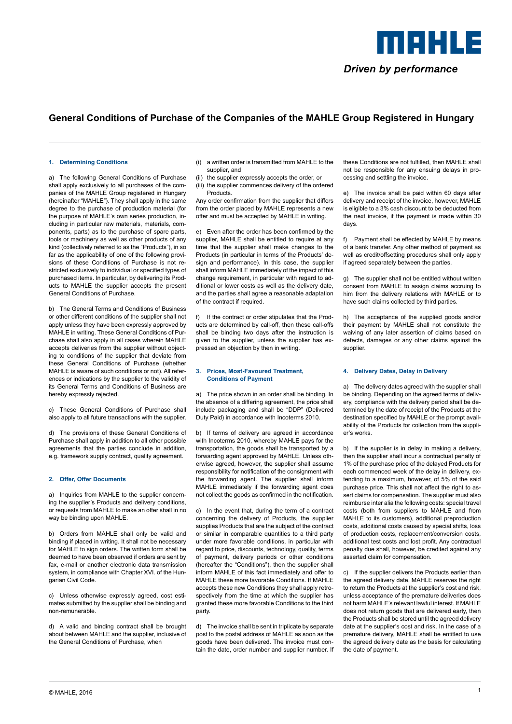

# **General Conditions of Purchase of the Companies of the MAHLE Group Registered in Hungary**

#### **1. Determining Conditions**

a) The following General Conditions of Purchase shall apply exclusively to all purchases of the companies of the MAHLE Group registered in Hungary (hereinafter "MAHLE"). They shall apply in the same degree to the purchase of production material (for the purpose of MAHLE's own series production, including in particular raw materials, materials, components, parts) as to the purchase of spare parts, tools or machinery as well as other products of any kind (collectively referred to as the "Products"), in so far as the applicability of one of the following provisions of these Conditions of Purchase is not restricted exclusively to individual or specified types of purchased items. In particular, by delivering its Products to MAHLE the supplier accepts the present General Conditions of Purchase.

b) The General Terms and Conditions of Business or other different conditions of the supplier shall not apply unless they have been expressly approved by MAHLE in writing. These General Conditions of Purchase shall also apply in all cases wherein MAHLE accepts deliveries from the supplier without objecting to conditions of the supplier that deviate from these General Conditions of Purchase (whether MAHLE is aware of such conditions or not). All references or indications by the supplier to the validity of its General Terms and Conditions of Business are hereby expressly rejected.

c) These General Conditions of Purchase shall also apply to all future transactions with the supplier.

d) The provisions of these General Conditions of Purchase shall apply in addition to all other possible agreements that the parties conclude in addition, e.g. framework supply contract, quality agreement.

# **2. Offer, Offer Documents**

a) Inquiries from MAHLE to the supplier concerning the supplier's Products and delivery conditions, or requests from MAHLE to make an offer shall in no way be binding upon MAHLE.

b) Orders from MAHLE shall only be valid and binding if placed in writing. It shall not be necessary for MAHLE to sign orders. The written form shall be deemed to have been observed if orders are sent by fax, e-mail or another electronic data transmission system, in compliance with Chapter XVI. of the Hungarian Civil Code.

c) Unless otherwise expressly agreed, cost estimates submitted by the supplier shall be binding and non-remunerable.

d) A valid and binding contract shall be brought about between MAHLE and the supplier, inclusive of the General Conditions of Purchase, when

- (i) a written order is transmitted from MAHLE to the supplier, and
- (ii) the supplier expressly accepts the order, or (iii) the supplier commences delivery of the ordered **Products**

Any order confirmation from the supplier that differs from the order placed by MAHLE represents a new offer and must be accepted by MAHLE in writing.

e) Even after the order has been confirmed by the supplier, MAHLE shall be entitled to require at any time that the supplier shall make changes to the Products (in particular in terms of the Products' design and performance). In this case, the supplier shall inform MAHLE immediately of the impact of this change requirement, in particular with regard to additional or lower costs as well as the delivery date, and the parties shall agree a reasonable adaptation of the contract if required.

f) If the contract or order stipulates that the Products are determined by call-off, then these call-offs shall be binding two days after the instruction is given to the supplier, unless the supplier has expressed an objection by then in writing.

#### **3. Prices, Most-Favoured Treatment, Conditions of Payment**

a) The price shown in an order shall be binding. In the absence of a differing agreement, the price shall include packaging and shall be "DDP" (Delivered Duty Paid) in accordance with Incoterms 2010.

b) If terms of delivery are agreed in accordance with Incoterms 2010, whereby MAHLE pays for the transportation, the goods shall be transported by a forwarding agent approved by MAHLE. Unless otherwise agreed, however, the supplier shall assume responsibility for notification of the consignment with the forwarding agent. The supplier shall inform MAHLE immediately if the forwarding agent does not collect the goods as confirmed in the notification.

c) In the event that, during the term of a contract concerning the delivery of Products, the supplier supplies Products that are the subject of the contract or similar in comparable quantities to a third party under more favorable conditions, in particular with regard to price, discounts, technology, quality, terms of payment, delivery periods or other conditions (hereafter the "Conditions"), then the supplier shall inform MAHLE of this fact immediately and offer to MAHLE these more favorable Conditions. If MAHLE accepts these new Conditions they shall apply retrospectively from the time at which the supplier has granted these more favorable Conditions to the third party.

d) The invoice shall be sent in triplicate by separate post to the postal address of MAHLE as soon as the goods have been delivered. The invoice must contain the date, order number and supplier number. If these Conditions are not fulfilled, then MAHLE shall not be responsible for any ensuing delays in processing and settling the invoice.

e) The invoice shall be paid within 60 days after delivery and receipt of the invoice, however, MAHLE is eligible to a 3% cash discount to be deducted from the next invoice, if the payment is made within 30 days.

f) Payment shall be effected by MAHLE by means of a bank transfer. Any other method of payment as well as credit/offsetting procedures shall only apply if agreed separately between the parties.

g) The supplier shall not be entitled without written consent from MAHLE to assign claims accruing to him from the delivery relations with MAHLE or to have such claims collected by third parties.

h) The acceptance of the supplied goods and/or their payment by MAHLE shall not constitute the waiving of any later assertion of claims based on defects, damages or any other claims against the supplier.

# **4. Delivery Dates, Delay in Delivery**

a) The delivery dates agreed with the supplier shall be binding. Depending on the agreed terms of delivery, compliance with the delivery period shall be determined by the date of receipt of the Products at the destination specified by MAHLE or the prompt availability of the Products for collection from the supplier's works.

b) If the supplier is in delay in making a delivery, then the supplier shall incur a contractual penalty of 1% of the purchase price of the delayed Products for each commenced week of the delay in delivery, extending to a maximum, however, of 5% of the said purchase price. This shall not affect the right to assert claims for compensation. The supplier must also reimburse inter alia the following costs: special travel costs (both from suppliers to MAHLE and from MAHLE to its customers), additional preproduction costs, additional costs caused by special shifts, loss of production costs, replacement/conversion costs, additional test costs and lost profit. Any contractual penalty due shall, however, be credited against any asserted claim for compensation.

c) If the supplier delivers the Products earlier than the agreed delivery date, MAHLE reserves the right to return the Products at the supplier's cost and risk, unless acceptance of the premature deliveries does not harm MAHLE's relevant lawful interest. If MAHLE does not return goods that are delivered early, then the Products shall be stored until the agreed delivery date at the supplier's cost and risk. In the case of a premature delivery, MAHLE shall be entitled to use the agreed delivery date as the basis for calculating the date of payment.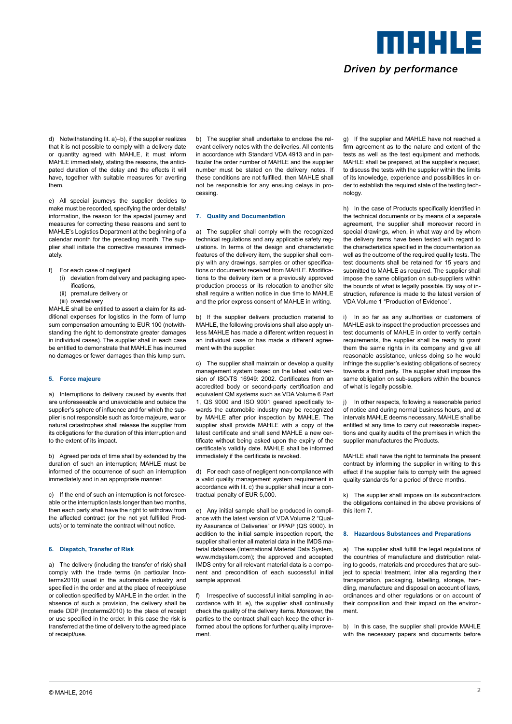meers e Driven by performance

d) Notwithstanding lit. a)–b), if the supplier realizes that it is not possible to comply with a delivery date or quantity agreed with MAHLE, it must inform MAHLE immediately, stating the reasons, the anticipated duration of the delay and the effects it will have, together with suitable measures for averting them.

e) All special journeys the supplier decides to make must be recorded, specifying the order details/ information, the reason for the special journey and measures for correcting these reasons and sent to MAHLE's Logistics Department at the beginning of a calendar month for the preceding month. The supplier shall initiate the corrective measures immediately.

- f) For each case of negligent
	- (i) deviation from delivery and packaging specifications,
	- (ii) premature delivery or
	- (iii) overdelivery

MAHLE shall be entitled to assert a claim for its additional expenses for logistics in the form of lump sum compensation amounting to EUR 100 (notwithstanding the right to demonstrate greater damages in individual cases). The supplier shall in each case be entitled to demonstrate that MAHLE has incurred no damages or fewer damages than this lump sum.

# **5. Force majeure**

a) Interruptions to delivery caused by events that are unforeseeable and unavoidable and outside the supplier's sphere of influence and for which the supplier is not responsible such as force majeure, war or natural catastrophes shall release the supplier from its obligations for the duration of this interruption and to the extent of its impact.

b) Agreed periods of time shall by extended by the duration of such an interruption; MAHLE must be informed of the occurrence of such an interruption immediately and in an appropriate manner.

c) If the end of such an interruption is not foreseeable or the interruption lasts longer than two months, then each party shall have the right to withdraw from the affected contract (or the not yet fulfilled Products) or to terminate the contract without notice.

# **6. Dispatch, Transfer of Risk**

a) The delivery (including the transfer of risk) shall comply with the trade terms (in particular Incoterms2010) usual in the automobile industry and specified in the order and at the place of receipt/use or collection specified by MAHLE in the order. In the absence of such a provision, the delivery shall be made DDP (Incoterms2010) to the place of receipt or use specified in the order. In this case the risk is transferred at the time of delivery to the agreed place of receipt/use.

b) The supplier shall undertake to enclose the relevant delivery notes with the deliveries. All contents in accordance with Standard VDA 4913 and in particular the order number of MAHLE and the supplier number must be stated on the delivery notes. If these conditions are not fulfilled, then MAHLE shall not be responsible for any ensuing delays in processing.

#### **7. Quality and Documentation**

a) The supplier shall comply with the recognized technical regulations and any applicable safety regulations. In terms of the design and characteristic features of the delivery item, the supplier shall comply with any drawings, samples or other specifications or documents received from MAHLE. Modifications to the delivery item or a previously approved production process or its relocation to another site shall require a written notice in due time to MAHLE and the prior express consent of MAHLE in writing.

b) If the supplier delivers production material to MAHLE, the following provisions shall also apply unless MAHLE has made a different written request in an individual case or has made a different agreement with the supplier.

c) The supplier shall maintain or develop a quality management system based on the latest valid version of ISO/TS 16949: 2002. Certificates from an accredited body or second-party certification and equivalent QM systems such as VDA Volume 6 Part 1, QS 9000 and ISO 9001 geared specifically towards the automobile industry may be recognized by MAHLE after prior inspection by MAHLE. The supplier shall provide MAHLE with a copy of the latest certificate and shall send MAHLE a new certificate without being asked upon the expiry of the certificate's validity date. MAHLE shall be informed immediately if the certificate is revoked.

d) For each case of negligent non-compliance with a valid quality management system requirement in accordance with lit. c) the supplier shall incur a contractual penalty of EUR 5,000.

e) Any initial sample shall be produced in compliance with the latest version of VDA Volume 2 "Quality Assurance of Deliveries" or PPAP (QS 9000). In addition to the initial sample inspection report, the supplier shall enter all material data in the IMDS material database (International Material Data System, www.mdsystem.com); the approved and accepted IMDS entry for all relevant material data is a component and precondition of each successful initial sample approval.

f) Irrespective of successful initial sampling in accordance with lit. e), the supplier shall continually check the quality of the delivery items. Moreover, the parties to the contract shall each keep the other informed about the options for further quality improvement.

g) If the supplier and MAHLE have not reached a firm agreement as to the nature and extent of the tests as well as the test equipment and methods, MAHLE shall be prepared, at the supplier's request, to discuss the tests with the supplier within the limits of its knowledge, experience and possibilities in order to establish the required state of the testing technology.

h) In the case of Products specifically identified in the technical documents or by means of a separate agreement, the supplier shall moreover record in special drawings, when, in what way and by whom the delivery items have been tested with regard to the characteristics specified in the documentation as well as the outcome of the required quality tests. The test documents shall be retained for 15 years and submitted to MAHLE as required. The supplier shall impose the same obligation on sub-suppliers within the bounds of what is legally possible. By way of instruction, reference is made to the latest version of VDA Volume 1 "Production of Evidence".

i) In so far as any authorities or customers of MAHLE ask to inspect the production processes and test documents of MAHLE in order to verify certain requirements, the supplier shall be ready to grant them the same rights in its company and give all reasonable assistance, unless doing so he would infringe the supplier's existing obligations of secrecy towards a third party. The supplier shall impose the same obligation on sub-suppliers within the bounds of what is legally possible.

j) In other respects, following a reasonable period of notice and during normal business hours, and at intervals MAHLE deems necessary, MAHLE shall be entitled at any time to carry out reasonable inspections and quality audits of the premises in which the supplier manufactures the Products.

MAHLE shall have the right to terminate the present contract by informing the supplier in writing to this effect if the supplier fails to comply with the agreed quality standards for a period of three months.

k) The supplier shall impose on its subcontractors the obligations contained in the above provisions of this item 7.

#### **8. Hazardous Substances and Preparations**

a) The supplier shall fulfill the legal regulations of the countries of manufacture and distribution relating to goods, materials and procedures that are subject to special treatment, inter alia regarding their transportation, packaging, labelling, storage, handling, manufacture and disposal on account of laws, ordinances and other regulations or on account of their composition and their impact on the environment.

b) In this case, the supplier shall provide MAHLE with the necessary papers and documents before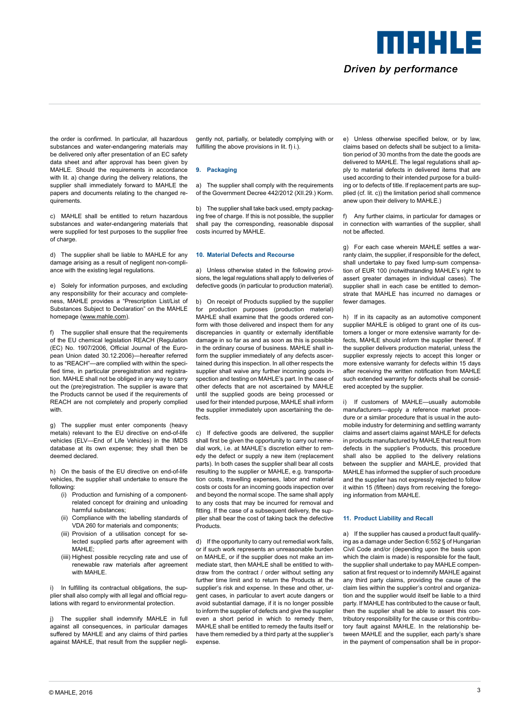Driven by performance

meers e

the order is confirmed. In particular, all hazardous substances and water-endangering materials may be delivered only after presentation of an EC safety data sheet and after approval has been given by MAHLE. Should the requirements in accordance with lit. a) change during the delivery relations, the supplier shall immediately forward to MAHLE the papers and documents relating to the changed requirements.

c) MAHLE shall be entitled to return hazardous substances and water-endangering materials that were supplied for test purposes to the supplier free of charge.

d) The supplier shall be liable to MAHLE for any damage arising as a result of negligent non-compliance with the existing legal regulations.

e) Solely for information purposes, and excluding any responsibility for their accuracy and completeness, MAHLE provides a "Prescription List/List of Substances Subject to Declaration" on the MAHLE homepage ([www.mahle.com\)](http://www.mahle.com/).

f) The supplier shall ensure that the requirements of the EU chemical legislation REACH (Regulation (EC) No. 1907/2006, Official Journal of the European Union dated 30.12.2006)—hereafter referred to as "REACH"—are complied with within the specified time, in particular preregistration and registration. MAHLE shall not be obliged in any way to carry out the (pre)registration. The supplier is aware that the Products cannot be used if the requirements of REACH are not completely and properly complied with.

g) The supplier must enter components (heavy metals) relevant to the EU directive on end-of-life vehicles (ELV—End of Life Vehicles) in the IMDS database at its own expense; they shall then be deemed declared.

h) On the basis of the EU directive on end-of-life vehicles, the supplier shall undertake to ensure the following:

- (i) Production and furnishing of a componentrelated concept for draining and unloading harmful substances;
- (ii) Compliance with the labelling standards of VDA 260 for materials and components;
- (iii) Provision of a utilisation concept for selected supplied parts after agreement with MAHLE<sup>.</sup>
- (iiii) Highest possible recycling rate and use of renewable raw materials after agreement with MAHI F

i) In fulfilling its contractual obligations, the supplier shall also comply with all legal and official regulations with regard to environmental protection.

j) The supplier shall indemnify MAHLE in full against all consequences, in particular damages suffered by MAHLE and any claims of third parties against MAHLE, that result from the supplier negligently not, partially, or belatedly complying with or fulfilling the above provisions in lit. f) i.).

# **9. Packaging**

a) The supplier shall comply with the requirements of the Government Decree 442/2012 (XII.29.) Korm.

b) The supplier shall take back used, empty packaging free of charge. If this is not possible, the supplier shall pay the corresponding, reasonable disposal costs incurred by MAHLE.

#### **10. Material Defects and Recourse**

a) Unless otherwise stated in the following provisions, the legal regulations shall apply to deliveries of defective goods (in particular to production material).

b) On receipt of Products supplied by the supplier for production purposes (production material) MAHLE shall examine that the goods ordered conform with those delivered and inspect them for any discrepancies in quantity or externally identifiable damage in so far as and as soon as this is possible in the ordinary course of business. MAHLE shall inform the supplier immediately of any defects ascertained during this inspection. In all other respects the supplier shall waive any further incoming goods inspection and testing on MAHLE's part. In the case of other defects that are not ascertained by MAHLE until the supplied goods are being processed or used for their intended purpose, MAHLE shall inform the supplier immediately upon ascertaining the defects.

c) If defective goods are delivered, the supplier shall first be given the opportunity to carry out remedial work, i.e. at MAHLE's discretion either to remedy the defect or supply a new item (replacement parts). In both cases the supplier shall bear all costs resulting to the supplier or MAHLE, e.g. transportation costs, travelling expenses, labor and material costs or costs for an incoming goods inspection over and beyond the normal scope. The same shall apply to any costs that may be incurred for removal and fitting. If the case of a subsequent delivery, the supplier shall bear the cost of taking back the defective **Products** 

d) If the opportunity to carry out remedial work fails, or if such work represents an unreasonable burden on MAHLE, or if the supplier does not make an immediate start, then MAHLE shall be entitled to withdraw from the contract / order without setting any further time limit and to return the Products at the supplier's risk and expense. In these and other, urgent cases, in particular to avert acute dangers or avoid substantial damage, if it is no longer possible to inform the supplier of defects and give the supplier even a short period in which to remedy them, MAHLE shall be entitled to remedy the faults itself or have them remedied by a third party at the supplier's expense.

e) Unless otherwise specified below, or by law, claims based on defects shall be subject to a limitation period of 30 months from the date the goods are delivered to MAHLE. The legal regulations shall apply to material defects in delivered items that are used according to their intended purpose for a building or to defects of title. If replacement parts are supplied (cf. lit. c)) the limitation period shall commence anew upon their delivery to MAHLE.)

f) Any further claims, in particular for damages or in connection with warranties of the supplier, shall not be affected.

g) For each case wherein MAHLE settles a warranty claim, the supplier, if responsible for the defect, shall undertake to pay fixed lump-sum compensation of EUR 100 (notwithstanding MAHLE's right to assert greater damages in individual cases). The supplier shall in each case be entitled to demonstrate that MAHLE has incurred no damages or fewer damages.

h) If in its capacity as an automotive component supplier MAHLE is obliged to grant one of its customers a longer or more extensive warranty for defects, MAHLE should inform the supplier thereof. If the supplier delivers production material, unless the supplier expressly rejects to accept this longer or more extensive warranty for defects within 15 days after receiving the written notification from MAHLE such extended warranty for defects shall be considered accepted by the supplier.

i) If customers of MAHLE—usually automobile manufacturers—apply a reference market procedure or a similar procedure that is usual in the automobile industry for determining and settling warranty claims and assert claims against MAHLE for defects in products manufactured by MAHLE that result from defects in the supplier's Products, this procedure shall also be applied to the delivery relations between the supplier and MAHLE, provided that MAHLE has informed the supplier of such procedure and the supplier has not expressly rejected to follow it within 15 (fifteen) days from receiving the foregoing information from MAHLE.

# **11. Product Liability and Recall**

a) If the supplier has caused a product fault qualifying as a damage under Section 6:552 § of Hungarian Civil Code and/or (depending upon the basis upon which the claim is made) is responsible for the fault, the supplier shall undertake to pay MAHLE compensation at first request or to indemnify MAHLE against any third party claims, providing the cause of the claim lies within the supplier's control and organization and the supplier would itself be liable to a third party. If MAHLE has contributed to the cause or fault, then the supplier shall be able to assert this contributory responsibility for the cause or this contributory fault against MAHLE. In the relationship between MAHLE and the supplier, each party's share in the payment of compensation shall be in propor-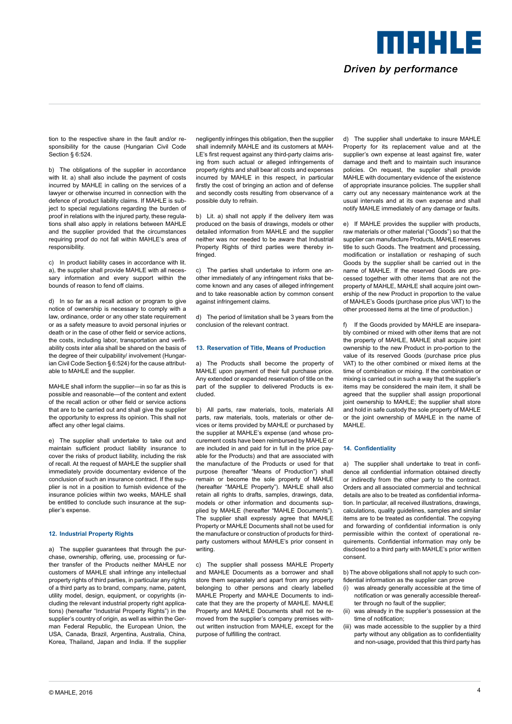meers e Driven by performance

tion to the respective share in the fault and/or responsibility for the cause (Hungarian Civil Code Section § 6:524.

b) The obligations of the supplier in accordance with lit. a) shall also include the payment of costs incurred by MAHLE in calling on the services of a lawyer or otherwise incurred in connection with the defence of product liability claims. If MAHLE is subject to special regulations regarding the burden of proof in relations with the injured party, these regulations shall also apply in relations between MAHLE and the supplier provided that the circumstances requiring proof do not fall within MAHLE's area of responsibility.

c) In product liability cases in accordance with lit. a), the supplier shall provide MAHLE with all necessary information and every support within the bounds of reason to fend off claims.

d) In so far as a recall action or program to give notice of ownership is necessary to comply with a law, ordinance, order or any other state requirement or as a safety measure to avoid personal injuries or death or in the case of other field or service actions, the costs, including labor, transportation and verifiability costs inter alia shall be shared on the basis of the degree of their culpability/ involvement (Hungarian Civil Code Section § 6:524) for the cause attributable to MAHLE and the supplier.

MAHLE shall inform the supplier—in so far as this is possible and reasonable—of the content and extent of the recall action or other field or service actions that are to be carried out and shall give the supplier the opportunity to express its opinion. This shall not affect any other legal claims.

e) The supplier shall undertake to take out and maintain sufficient product liability insurance to cover the risks of product liability, including the risk of recall. At the request of MAHLE the supplier shall immediately provide documentary evidence of the conclusion of such an insurance contract. If the supplier is not in a position to furnish evidence of the insurance policies within two weeks, MAHLE shall be entitled to conclude such insurance at the supplier's expense.

# **12. Industrial Property Rights**

a) The supplier guarantees that through the purchase, ownership, offering, use, processing or further transfer of the Products neither MAHLE nor customers of MAHLE shall infringe any intellectual property rights of third parties, in particular any rights of a third party as to brand, company, name, patent, utility model, design, equipment, or copyrights (including the relevant industrial property right applications) (hereafter "Industrial Property Rights") in the supplier's country of origin, as well as within the German Federal Republic, the European Union, the USA, Canada, Brazil, Argentina, Australia, China, Korea, Thailand, Japan and India. If the supplier

negligently infringes this obligation, then the supplier shall indemnify MAHLE and its customers at MAH-LE's first request against any third-party claims arising from such actual or alleged infringements of property rights and shall bear all costs and expenses incurred by MAHLE in this respect, in particular firstly the cost of bringing an action and of defense and secondly costs resulting from observance of a possible duty to refrain.

b) Lit. a) shall not apply if the delivery item was produced on the basis of drawings, models or other detailed information from MAHLE and the supplier neither was nor needed to be aware that Industrial Property Rights of third parties were thereby infringed.

c) The parties shall undertake to inform one another immediately of any infringement risks that become known and any cases of alleged infringement and to take reasonable action by common consent against infringement claims.

d) The period of limitation shall be 3 years from the conclusion of the relevant contract.

#### **13. Reservation of Title, Means of Production**

a) The Products shall become the property of MAHLE upon payment of their full purchase price. Any extended or expanded reservation of title on the part of the supplier to delivered Products is excluded.

b) All parts, raw materials, tools, materials All parts, raw materials, tools, materials or other devices or items provided by MAHLE or purchased by the supplier at MAHLE's expense (and whose procurement costs have been reimbursed by MAHLE or are included in and paid for in full in the price payable for the Products) and that are associated with the manufacture of the Products or used for that purpose (hereafter "Means of Production") shall remain or become the sole property of MAHLE (hereafter "MAHLE Property"). MAHLE shall also retain all rights to drafts, samples, drawings, data, models or other information and documents supplied by MAHLE (hereafter "MAHLE Documents"). The supplier shall expressly agree that MAHLE Property or MAHLE Documents shall not be used for the manufacture or construction of products for thirdparty customers without MAHLE's prior consent in writing.

c) The supplier shall possess MAHLE Property and MAHLE Documents as a borrower and shall store them separately and apart from any property belonging to other persons and clearly labelled MAHLE Property and MAHLE Documents to indicate that they are the property of MAHLE. MAHLE Property and MAHLE Documents shall not be removed from the supplier's company premises without written instruction from MAHLE, except for the purpose of fulfilling the contract.

d) The supplier shall undertake to insure MAHLE Property for its replacement value and at the supplier's own expense at least against fire, water damage and theft and to maintain such insurance policies. On request, the supplier shall provide MAHLE with documentary evidence of the existence of appropriate insurance policies. The supplier shall carry out any necessary maintenance work at the usual intervals and at its own expense and shall notify MAHLE immediately of any damage or faults.

e) If MAHLE provides the supplier with products, raw materials or other material ("Goods") so that the supplier can manufacture Products, MAHLE reserves title to such Goods. The treatment and processing, modification or installation or reshaping of such Goods by the supplier shall be carried out in the name of MAHLE. If the reserved Goods are processed together with other items that are not the property of MAHLE, MAHLE shall acquire joint ownership of the new Product in proportion to the value of MAHLE's Goods (purchase price plus VAT) to the other processed items at the time of production.)

f) If the Goods provided by MAHLE are inseparably combined or mixed with other items that are not the property of MAHLE, MAHLE shall acquire joint ownership to the new Product in pro-portion to the value of its reserved Goods (purchase price plus VAT) to the other combined or mixed items at the time of combination or mixing. If the combination or mixing is carried out in such a way that the supplier's items may be considered the main item, it shall be agreed that the supplier shall assign proportional joint ownership to MAHLE; the supplier shall store and hold in safe custody the sole property of MAHLE or the joint ownership of MAHLE in the name of MAHLE.

# **14. Confidentiality**

a) The supplier shall undertake to treat in confidence all confidential information obtained directly or indirectly from the other party to the contract. Orders and all associated commercial and technical details are also to be treated as confidential information. In particular, all received illustrations, drawings, calculations, quality guidelines, samples and similar items are to be treated as confidential. The copying and forwarding of confidential information is only permissible within the context of operational requirements. Confidential information may only be disclosed to a third party with MAHLE's prior written consent.

b) The above obligations shall not apply to such confidential information as the supplier can prove

- (i) was already generally accessible at the time of notification or was generally accessible thereafter through no fault of the supplier:
- (ii) was already in the supplier's possession at the time of notification;
- (iii) was made accessible to the supplier by a third party without any obligation as to confidentiality and non-usage, provided that this third party has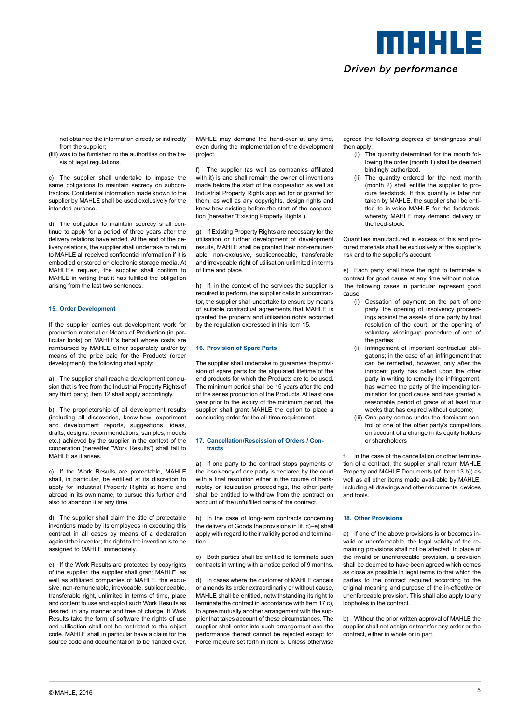Driven by performance

MOHLE

not obtained the information directly or indirectly from the supplier;

(iiii) was to be furnished to the authorities on the basis of legal regulations.

c) The supplier shall undertake to impose the same obligations to maintain secrecy on subcontractors. Confidential information made known to the supplier by MAHLE shall be used exclusively for the intended purpose.

d) The obligation to maintain secrecy shall continue to apply for a period of three years after the delivery relations have ended. At the end of the delivery relations, the supplier shall undertake to return to MAHLE all received confidential information if it is embodied or stored on electronic storage media. At MAHLE's request, the supplier shall confirm to MAHLE in writing that it has fulfilled the obligation arising from the last two sentences.

# **15. Order Development**

If the supplier carries out development work for production material or Means of Production (in particular tools) on MAHLE's behalf whose costs are reimbursed by MAHLE either separately and/or by means of the price paid for the Products (order development), the following shall apply:

a) The supplier shall reach a development conclusion that is free from the Industrial Property Rights of any third party; Item 12 shall apply accordingly.

b) The proprietorship of all development results (including all discoveries, know-how, experiment and development reports, suggestions, ideas, drafts, designs, recommendations, samples, models etc.) achieved by the supplier in the context of the cooperation (hereafter "Work Results") shall fall to MAHLE as it arises.

c) If the Work Results are protectable, MAHLE shall, in particular, be entitled at its discretion to apply for Industrial Property Rights at home and abroad in its own name, to pursue this further and also to abandon it at any time.

d) The supplier shall claim the title of protectable inventions made by its employees in executing this contract in all cases by means of a declaration against the inventor; the right to the invention is to be assigned to MAHLE immediately.

e) If the Work Results are protected by copyrights of the supplier, the supplier shall grant MAHLE, as well as affiliated companies of MAHLE, the exclusive, non-remunerable, irrevocable, sublicenceable, transferable right, unlimited in terms of time, place and content to use and exploit such Work Results as desired, in any manner and free of charge. If Work Results take the form of software the rights of use and utilisation shall not be restricted to the object code. MAHLE shall in particular have a claim for the source code and documentation to be handed over.

MAHLE may demand the hand-over at any time, even during the implementation of the development project.

f) The supplier (as well as companies affiliated with it) is and shall remain the owner of inventions made before the start of the cooperation as well as Industrial Property Rights applied for or granted for them, as well as any copyrights, design rights and know-how existing before the start of the cooperation (hereafter "Existing Property Rights").

g) If Existing Property Rights are necessary for the utilisation or further development of development results, MAHLE shall be granted their non-remunerable, non-exclusive, sublicenceable, transferable and irrevocable right of utilisation unlimited in terms of time and place.

h) If, in the context of the services the supplier is required to perform, the supplier calls in subcontractor, the supplier shall undertake to ensure by means of suitable contractual agreements that MAHLE is granted the property and utilisation rights accorded by the regulation expressed in this Item 15.

#### **16. Provision of Spare Parts**

The supplier shall undertake to guarantee the provision of spare parts for the stipulated lifetime of the end products for which the Products are to be used. The minimum period shall be 15 years after the end of the series production of the Products. At least one year prior to the expiry of the minimum period, the supplier shall grant MAHLE the option to place a concluding order for the all-time requirement.

#### **17. Cancellation/Rescission of Orders / Contracts**

a) If one party to the contract stops payments or the insolvency of one party is declared by the court with a final resolution either in the course of bankruptcy or liquidation proceedings, the other party shall be entitled to withdraw from the contract on account of the unfulfilled parts of the contract.

b) In the case of long-term contracts concerning the delivery of Goods the provisions in lit. c)–e) shall apply with regard to their validity period and termination.

c) Both parties shall be entitled to terminate such contracts in writing with a notice period of 9 months.

d) In cases where the customer of MAHLE cancels or amends its order extraordinarily or without cause, MAHLE shall be entitled, notwithstanding its right to terminate the contract in accordance with Item 17 c), to agree mutually another arrangement with the supplier that takes account of these circumstances. The supplier shall enter into such arrangement and the performance thereof cannot be rejected except for Force majeure set forth in item 5. Unless otherwise

agreed the following degrees of bindingness shall then apply:

- (i) The quantity determined for the month following the order (month 1) shall be deemed bindingly authorized.
- (ii) The quantity ordered for the next month (month 2) shall entitle the supplier to procure feedstock. If this quantity is later not taken by MAHLE, the supplier shall be entitled to in-voice MAHLE for the feedstock, whereby MAHLE may demand delivery of the feed-stock.

Quantities manufactured in excess of this and procured materials shall be exclusively at the supplier's risk and to the supplier's account

e) Each party shall have the right to terminate a contract for good cause at any time without notice. The following cases in particular represent good cause:

- (i) Cessation of payment on the part of one party, the opening of insolvency proceedings against the assets of one party by final resolution of the court, or the opening of voluntary winding-up procedure of one of the parties;
- (ii) Infringement of important contractual obligations; in the case of an infringement that can be remedied, however, only after the innocent party has called upon the other party in writing to remedy the infringement, has warned the party of the impending termination for good cause and has granted a reasonable period of grace of at least four weeks that has expired without outcome;
- (iii) One party comes under the dominant control of one of the other party's competitors on account of a change in its equity holders or shareholders

f) In the case of the cancellation or other termination of a contract, the supplier shall return MAHLE Property and MAHLE Documents (cf. Item 13 b)) as well as all other items made avail-able by MAHLE, including all drawings and other documents, devices and tools.

### **18. Other Provisions**

a) If one of the above provisions is or becomes invalid or unenforceable, the legal validity of the remaining provisions shall not be affected. In place of the invalid or unenforceable provision, a provision shall be deemed to have been agreed which comes as close as possible in legal terms to that which the parties to the contract required according to the original meaning and purpose of the in-effective or unenforceable provision. This shall also apply to any loopholes in the contract.

b) Without the prior written approval of MAHLE the supplier shall not assign or transfer any order or the contract, either in whole or in part.